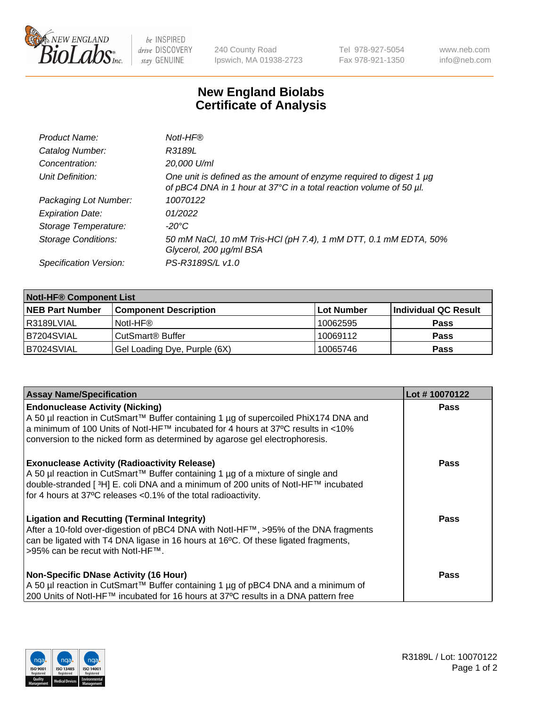

 $be$  INSPIRED drive DISCOVERY stay GENUINE

240 County Road Ipswich, MA 01938-2723 Tel 978-927-5054 Fax 978-921-1350 www.neb.com info@neb.com

## **New England Biolabs Certificate of Analysis**

| Product Name:              | Notl-HF®                                                                                                                                  |
|----------------------------|-------------------------------------------------------------------------------------------------------------------------------------------|
| Catalog Number:            | R3189L                                                                                                                                    |
| Concentration:             | 20,000 U/ml                                                                                                                               |
| Unit Definition:           | One unit is defined as the amount of enzyme required to digest 1 µg<br>of pBC4 DNA in 1 hour at 37°C in a total reaction volume of 50 µl. |
| Packaging Lot Number:      | 10070122                                                                                                                                  |
| <b>Expiration Date:</b>    | 01/2022                                                                                                                                   |
| Storage Temperature:       | $-20^{\circ}$ C                                                                                                                           |
| <b>Storage Conditions:</b> | 50 mM NaCl, 10 mM Tris-HCl (pH 7.4), 1 mM DTT, 0.1 mM EDTA, 50%<br>Glycerol, 200 µg/ml BSA                                                |
| Specification Version:     | PS-R3189S/L v1.0                                                                                                                          |

| <b>Notl-HF® Component List</b> |                              |            |                      |  |
|--------------------------------|------------------------------|------------|----------------------|--|
| <b>NEB Part Number</b>         | <b>Component Description</b> | Lot Number | Individual QC Result |  |
| l R3189LVIAL                   | Notl-HF®                     | 10062595   | <b>Pass</b>          |  |
| B7204SVIAL                     | CutSmart <sup>®</sup> Buffer | 10069112   | <b>Pass</b>          |  |
| B7024SVIAL                     | Gel Loading Dye, Purple (6X) | 10065746   | <b>Pass</b>          |  |

| <b>Assay Name/Specification</b>                                                                                                                                                                                                                                                                              | Lot #10070122 |
|--------------------------------------------------------------------------------------------------------------------------------------------------------------------------------------------------------------------------------------------------------------------------------------------------------------|---------------|
| <b>Endonuclease Activity (Nicking)</b><br>  A 50 µl reaction in CutSmart™ Buffer containing 1 µg of supercoiled PhiX174 DNA and                                                                                                                                                                              | <b>Pass</b>   |
| a minimum of 100 Units of Notl-HF™ incubated for 4 hours at 37°C results in <10%<br>conversion to the nicked form as determined by agarose gel electrophoresis.                                                                                                                                              |               |
| <b>Exonuclease Activity (Radioactivity Release)</b><br>  A 50 µl reaction in CutSmart™ Buffer containing 1 µg of a mixture of single and<br>double-stranded [ <sup>3</sup> H] E. coli DNA and a minimum of 200 units of Notl-HF™ incubated<br>for 4 hours at 37°C releases <0.1% of the total radioactivity. | Pass          |
| <b>Ligation and Recutting (Terminal Integrity)</b><br>After a 10-fold over-digestion of pBC4 DNA with Notl-HF™, >95% of the DNA fragments<br>can be ligated with T4 DNA ligase in 16 hours at 16 <sup>o</sup> C. Of these ligated fragments,<br>1>95% can be recut with NotI-HF™.                            | Pass          |
| <b>Non-Specific DNase Activity (16 Hour)</b><br>A 50 µl reaction in CutSmart™ Buffer containing 1 µg of pBC4 DNA and a minimum of                                                                                                                                                                            | <b>Pass</b>   |
| 200 Units of Notl-HF™ incubated for 16 hours at 37°C results in a DNA pattern free                                                                                                                                                                                                                           |               |